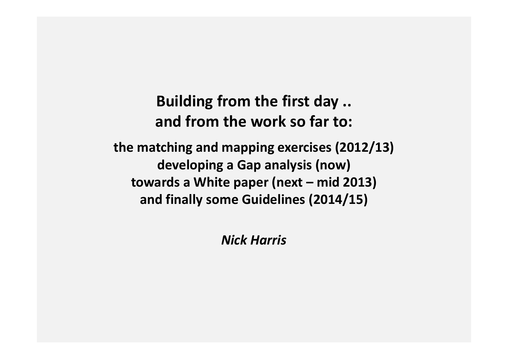Building from the first day .. and from the work so far to: the matching and mapping exercises (2012/13) developing a Gap analysis (now) towards a White paper (next – mid 2013) and finally some Guidelines (2014/15)

Nick Harris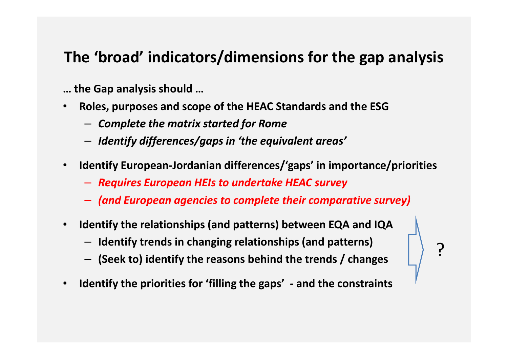#### The 'broad' indicators/dimensions for the gap analysis

… the Gap analysis should …

- Roles, purposes and scope of the HEAC Standards and the ESG $\bullet$ 
	- Complete the matrix started for Rome
	- $-$  Identify differences/gaps in 'the equivalent areas'
- $\bullet$  Identify European-Jordanian differences/'gaps' in importance/priorities
	- Requires European HEIs to undertake HEAC survey
	- (and European agencies to complete their comparative survey)

<u>י</u>

- $\bullet$  Identify the relationships (and patterns) between EQA and IQA
	- Identify trends in changing relationships (and patterns)
	- (Seek to) identify the reasons behind the trends / changes
- $\bullet$ Identify the priorities for 'filling the gaps' - and the constraints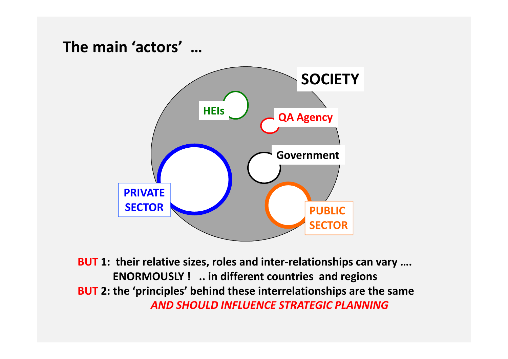## The main 'actors' …**SOCIETY** QA AgencyGovernment**HEIs** PRIVATE**SECTOR**  PUBLICSECTOR

BUT 1: their relative sizes, roles and inter-relationships can vary .... ENORMOUSLY ! .. in different countries and regionsBUT 2: the 'principles' behind these interrelationships are the same AND SHOULD INFLUENCE STRATEGIC PLANNING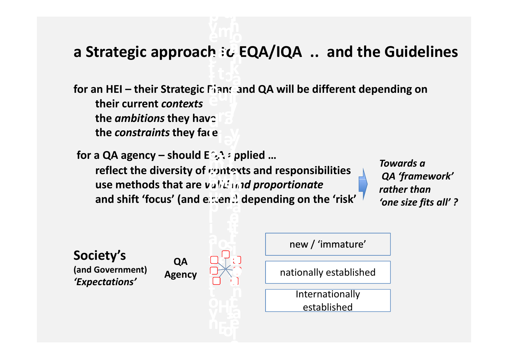#### a Strategic approach  $\partial G$  EQA/IQA  $\,$  .. and the Guidelines ai n $\mathbf{b}$  and

for an HEI – their Strategic  $\Gamma$ ians and QA will be different depending on their current contextsthe *ambitions* they hav $\in$ the *constraints* they face u e**oans** r e

for a QA agency – should  $E \gtrsim 1$  applied ... reflect the diversity of contexts and responsibilities use methods that are valit and proportionate ea a and shift 'focus' (and extent) depending on the 'risk'  $\,$ nrg<br>Gir  $\rho_{\rm D}$ at $\frac{1}{2}$  $\mathbf{r}$ 

Towards a QA 'framework' rather than 'one size fits all' ?

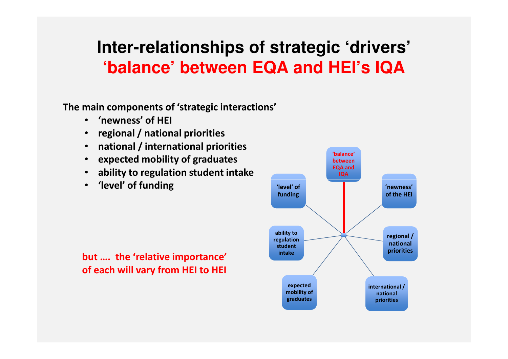### **Inter-relationships of strategic 'drivers' 'balance' between EQA and HEI's IQA**

The main components of 'strategic interactions'

- $\bullet$ 'newness' of HEI
- •regional / national priorities
- •national / international priorities
- •expected mobility of graduates
- •ability to regulation student intake
- •'level' of funding



but …. the 'relative importance' of each will vary from HEI to HEI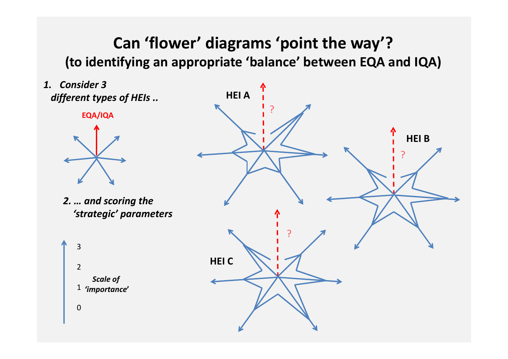#### Can 'flower' diagrams 'point the way'?(to identifying an appropriate 'balance' between EQA and IQA)

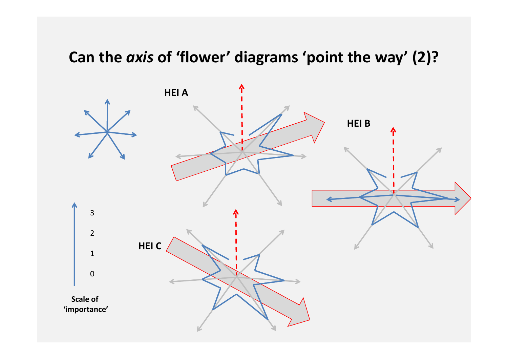### Can the *axis* of 'flower' diagrams 'point the way' (2)?

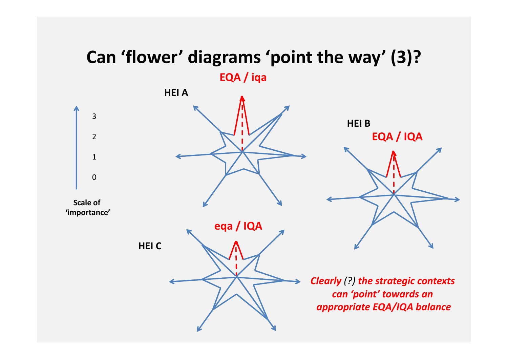# Can 'flower' diagrams 'point the way' (3)?

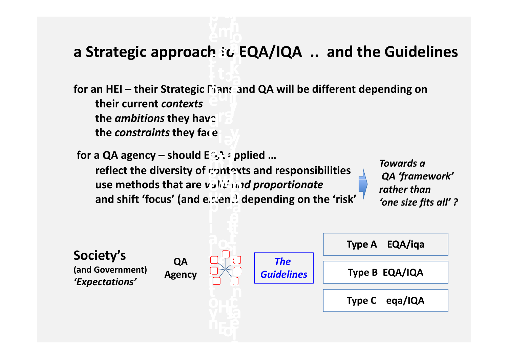#### a Strategic approach  $\partial G$  EQA/IQA  $\,$  .. and the Guidelines ai n $\mathbf{b}$  and

for an HEI – their Strategic  $\Gamma$ ians and QA will be different depending on their current contextsthe *ambitions* they hav $\in$ the *constraints* they face u e**oans** r e

for a QA agency – should  $E \gtrsim 1$  applied ... reflect the diversity of contexts and responsibilities use methods that are valit and proportionate ea a and shift 'focus' (and extent) depending on the 'risk'  $\,$ nrg<br>Gir  $\rho_{\rm D}$ at $\frac{1}{2}$  $\mathbf{r}$ 

Towards a QA 'framework' rather than 'one size fits all' ?